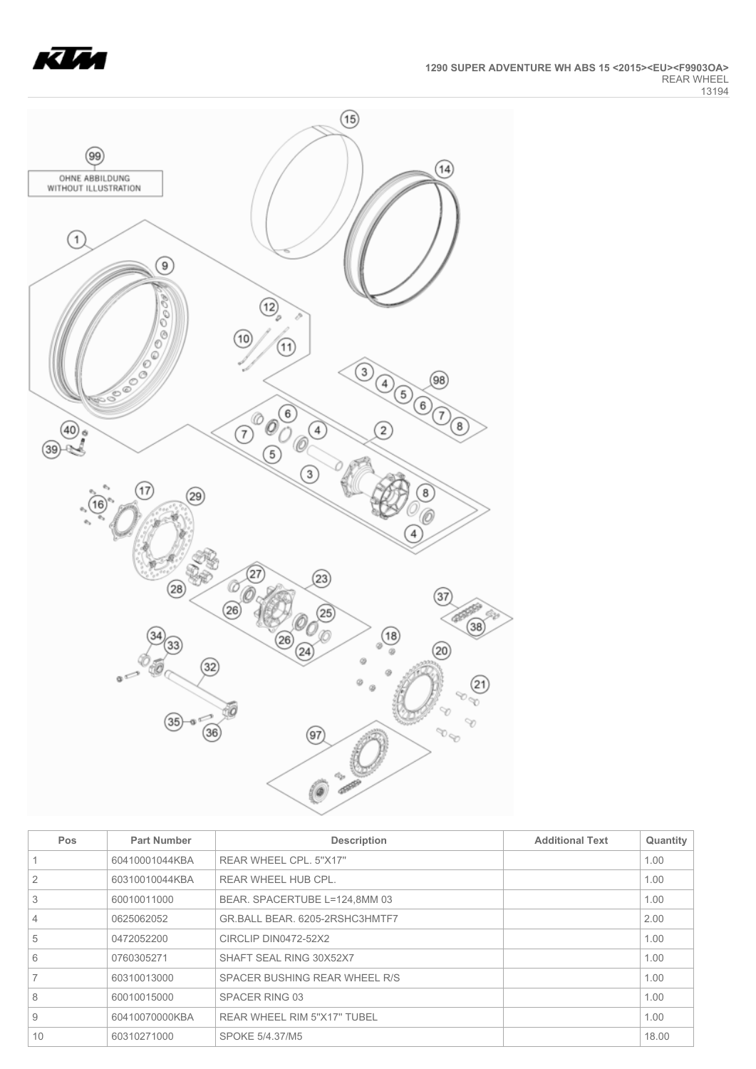



| Pos            | <b>Part Number</b> | <b>Description</b>             | <b>Additional Text</b> | Quantity |
|----------------|--------------------|--------------------------------|------------------------|----------|
|                | 60410001044KBA     | REAR WHEEL CPL, 5"X17"         |                        | 1.00     |
| 2              | 60310010044KBA     | REAR WHEEL HUB CPL.            |                        | 1.00     |
| 3              | 60010011000        | BEAR. SPACERTUBE L=124,8MM 03  |                        | 1.00     |
| $\overline{4}$ | 0625062052         | GR.BALL BEAR, 6205-2RSHC3HMTF7 |                        | 2.00     |
| 5              | 0472052200         | CIRCLIP DIN0472-52X2           |                        | 1.00     |
| 6              | 0760305271         | SHAFT SEAL RING 30X52X7        |                        | 1.00     |
|                | 60310013000        | SPACER BUSHING REAR WHEEL R/S  |                        | 1.00     |
| 8              | 60010015000        | SPACER RING 03                 |                        | 1.00     |
| 9              | 60410070000KBA     | REAR WHEEL RIM 5"X17" TUBEL    |                        | 1.00     |
| 10             | 60310271000        | SPOKE 5/4.37/M5                |                        | 18.00    |